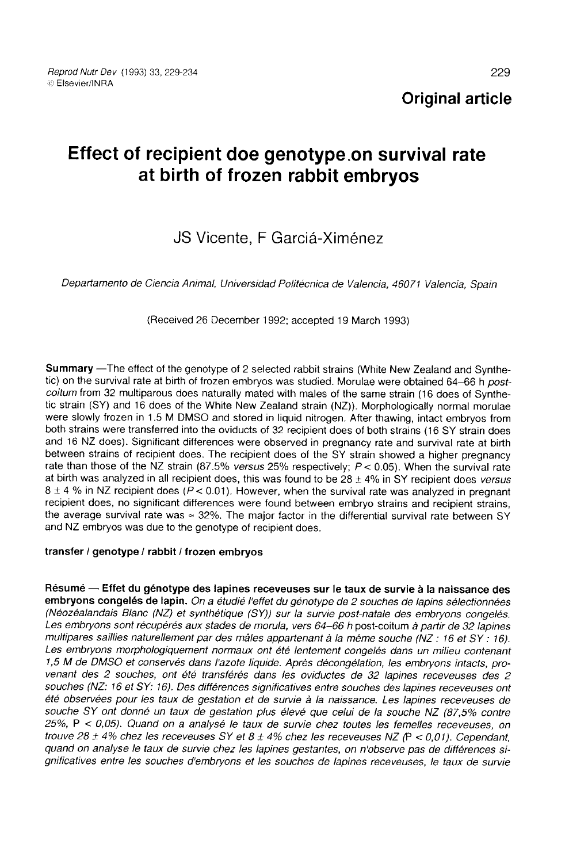# Effect of recipient doe genotype.on survival rate at birth of frozen rabbit embryos

## JS Vicente, F Garciá-Ximénez

Departamento de Ciencia Animal, Universidad Politécnica de Valencia, 46071 Valencia, Spain

(Received 26 December 1992; accepted 19 March 1993)

Summary -The effect of the genotype of 2 selected rabbit strains (White New Zealand and Synthetic) on the survival rate at birth of frozen embryos was studied. Morulae were obtained 64-66 h post-<br>coitum from 32 multiparous does naturally mated with males of the same strain (16 does of Synthetic strain (SY) and 16 does of the White New Zealand strain (NZ)). Morphologically normal morulae were slowly frozen in 1.5 M DMSO and stored in liquid nitrogen. After thawing, intact embryos from both strains were transferred into the oviducts of 32 recipient does of both strains (16 SY strain does and 16 NZ does). Significant differences were observed in pregnancy rate and survival rate at birth<br>between strains of recipient does. The recipient does of the SY strain showed a higher pregnancy rate than those of the NZ strain (87.5% versus 25% respectively;  $P < 0.05$ ). When the survival rate at birth was analyzed in all recipient does, this was found to be  $28 \pm 4\%$  in SY recipient does versus  $8 \pm 4$  % in NZ recipient does ( $P < 0.01$ ). However, when the survival rate was analyzed in pregnant recipient does, no significant differences were found between embryo strains and recipient strains, the average survival rate was  $\approx 32\%$ . The major factor in the differential survival rate between SY and NZ embryos was due to the genotype of recipient does.

#### transfer / genotype / rabbit / frozen embryos

Résumé ― Effet du génotype des lapines receveuses sur le taux de survie à la naissance des embryons congelés de lapin. On a étudié l'effet du génotype de 2 souches de lapins sélectionnées<br>(Néozéalandais Blanc (NZ) et synthétique (SY)) sur la survie post-natale des embryons congelés. Les embryons sont récupérés aux stades de morula, vers 64-66 h post-coitum à partir de 32 lapines multipares saillies naturellement par des mâles appartenant à la même souche (NZ : 16 et SY: 16). Les embryons morphologiquement normaux ont été lentement congelés dans un milieu contenant 1,5 M de DMSO et conservés dans l'azote liquide. Après décongélation, les embryons intacts, pro- venant des 2 souches, ont été transférés dans les oviductes de 32 lapines receveuses des 2 souches (NZ: 16 et SY: 16). Des différences significatives entre souches des lapines receveuses ont été observées pour les taux de gestation et de survie à la naissance. Les lapines receveuses de souche SY ont donné un taux de gestation plus élevé que celui de la souche NZ (87,5% contre 25%, P < 0,05). Quand on a analysé le taux de survie chez toutes les femelles receveuses, on trouve 28  $\pm$  4% chez les receveuses SY et 8  $\pm$  4% chez les receveuses NZ (P < 0,01). Cependant, quand on analyse le taux de survie chez les lapines gestantes, on n'observe pas de différences significatives entre les souches d'embryons et les souches de lapines receveuses, le taux de survie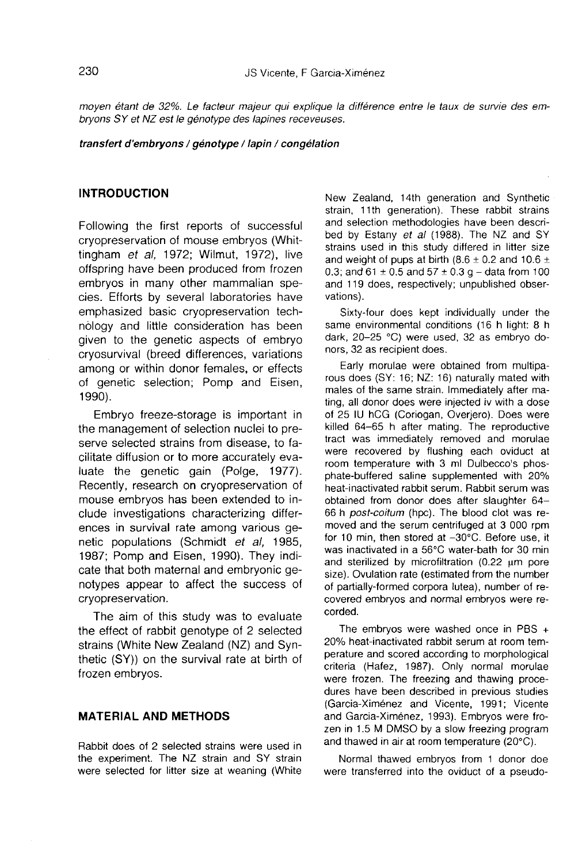moyen étant de 32%. Le facteur majeur qui explique la différence entre le taux de survie des embryons SY et NZ est le génotype des lapines receveuses.

#### transfert d'embryons / génotype / lapin / congélation

## INTRODUCTION

Following the first reports of successful cryopreservation of mouse embryos (Whittingham et al. 1972; Wilmut, 1972), live offspring have been produced from frozen embryos in many other mammalian species. Efforts by several laboratories have emphasized basic cryopreservation technology and little consideration has been given to the genetic aspects of embryo cryosurvival (breed differences, variations among or within donor females, or effects of genetic selection; Pomp and Eisen, 1990).

Embryo freeze-storage is important in the management of selection nuclei to preserve selected strains from disease, to facilitate diffusion or to more accurately evaluate the genetic gain (Polge, 1977). Recently, research on cryopreservation of mouse embryos has been extended to include investigations characterizing differences in survival rate among various genetic populations (Schmidt et al, 1985, 1987; Pomp and Eisen, 1990). They indicate that both maternal and embryonic genotypes appear to affect the success of cryopreservation.

The aim of this study was to evaluate the effect of rabbit genotype of 2 selected strains (White New Zealand (NZ) and Synthetic (SY)) on the survival rate at birth of frozen embryos.

## MATERIAL AND METHODS

Rabbit does of 2 selected strains were used in the experiment. The NZ strain and SY strain were selected for litter size at weaning (White New Zealand, 14th generation and Synthetic strain, 11th generation). These rabbit strains and selection methodologies have been described by Estany et al (1988). The NZ and SY strains used in this study differed in litter size and weight of pups at birth  $(8.6 \pm 0.2 \text{ and } 10.6 \pm 1)$ 0.3; and  $61 \pm 0.5$  and  $57 \pm 0.3$  g – data from 100 and 119 does, respectively; unpublished observations).

Sixty-four does kept individually under the same environmental conditions (16 h light: 8 h dark, 20-25 °C) were used, 32 as embryo donors, 32 as recipient does.

Early morulae were obtained from multipa rous does (SY: 16; NZ: 16) naturally mated with males of the same strain. Immediately after mating, all donor does were injected iv with a dose of 25 IU hCG (Coriogan, Overjero). Does were killed 64-65 h after mating. The reproductive tract was immediately removed and morulae were recovered by flushing each oviduct at room temperature with 3 ml Dulbecco's phosphate-buffered saline supplemented with 20% heat-inactivated rabbit serum. Rabbit serum was obtained from donor does after slaughter 64- 66 h post-coitum (hpc). The blood clot was removed and the serum centrifuged at 3 000 rpm for 10 min, then stored at -30°C. Before use, it was inactivated in a 56°C water-bath for 30 min and sterilized by microfiltration  $(0.22 \mu m)$  pore size). Ovulation rate (estimated from the number of partially-formed corpora lutea), number of recovered embryos and normal embryos were recorded.

The embryos were washed once in PBS + 20% heat-inactivated rabbit serum at room temperature and scored according to morphological criteria (Hafez, 1987). Only normal morulae were frozen. The freezing and thawing procedures have been described in previous studies (Garcia-Ximénez and Vicente, 1991; Vicente and Garcia-Ximénez, 1993). Embryos were frozen in 1.5 M DMSO by a slow freezing program and thawed in air at room temperature (20°C).

Normal thawed embryos from 1 donor doe were transferred into the oviduct of a pseudo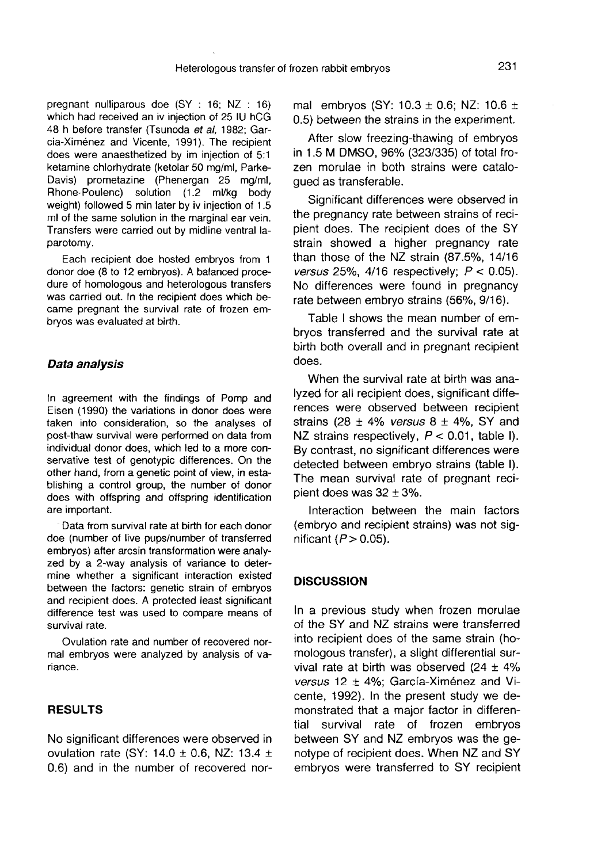pregnant nulliparous doe (SY : 16; NZ : 16) which had received an iv injection of 25 IU hCG 48 h before transfer (Tsunoda et al, 1982; Garcia-Ximénez and Vicente, 1991). The recipient does were anaesthetized by im injection of 5:1 ketamine chlorhydrate (ketolar 50 mg/ml, Parke-Davis) prometazine (Phenergan 25 mg/ml, Rhone-Poulenc) solution (1.2 ml/kg body weight) followed 5 min later by iv injection of 1.5 ml of the same solution in the marginal ear vein. Transfers were carried out by midline ventral laparotomy.

Each recipient doe hosted embryos from 1 donor doe (8 to 12 embryos). A balanced procedure of homologous and heterologous transfers was carried out. In the recipient does which became pregnant the survival rate of frozen embryos was evaluated at birth.

#### Data analysis

In agreement with the findings of Pomp and Eisen (1990) the variations in donor does were taken into consideration, so the analyses of post-thaw survival were performed on data from individual donor does, which led to a more conservative test of genotypic differences. On the other hand, from a genetic point of view, in establishing a control group, the number of donor does with offspring and offspring identification are important.

Data from survival rate at birth for each donor doe (number of live pups/number of transferred embryos) after arcsin transformation were analyzed by a 2-way analysis of variance to determine whether a significant interaction existed between the factors: genetic strain of embryos and recipient does. A protected least significant difference test was used to compare means of survival rate.

Ovulation rate and number of recovered normal embryos were analyzed by analysis of variance.

## RESULTS

No significant differences were observed in ovulation rate (SY:  $14.0 \pm 0.6$ , NZ: 13.4  $\pm$ 0.6) and in the number of recovered normal embryos (SY:  $10.3 \pm 0.6$ ; NZ:  $10.6 \pm 10.6$ 0.5) between the strains in the experiment.

After slow freezing-thawing of embryos in 1.5 M DMSO, 96% (323/335) of total frozen morulae in both strains were catalogued as transferable.

Significant differences were observed in the pregnancy rate between strains of recipient does. The recipient does of the SY strain showed a higher pregnancy rate than those of the NZ strain (87.5%, 14/16 versus 25%, 4/16 respectively;  $P < 0.05$ ). No differences were found in pregnancy rate between embryo strains (56%, 9/16).

Table I shows the mean number of embryos transferred and the survival rate at birth both overall and in pregnant recipient does.

When the survival rate at birth was analyzed for all recipient does, significant differences were observed between recipient strains (28  $\pm$  4% versus 8  $\pm$  4%, SY and NZ strains respectively,  $P < 0.01$ , table I). By contrast, no significant differences were detected between embryo strains (table I). The mean survival rate of pregnant recipient does was  $32 \pm 3\%$ .

Interaction between the main factors (embryo and recipient strains) was not significant  $(P > 0.05)$ .

#### **DISCUSSION**

In a previous study when frozen morulae of the SY and NZ strains were transferred into recipient does of the same strain (homologous transfer), a slight differential survival rate at birth was observed  $(24 \pm 4\%)$ versus 12  $\pm$  4%; García-Ximénez and Vicente, 1992). In the present study we demonstrated that a major factor in differential survival rate of frozen embryos between SY and NZ embryos was the genotype of recipient does. When NZ and SY embryos were transferred to SY recipient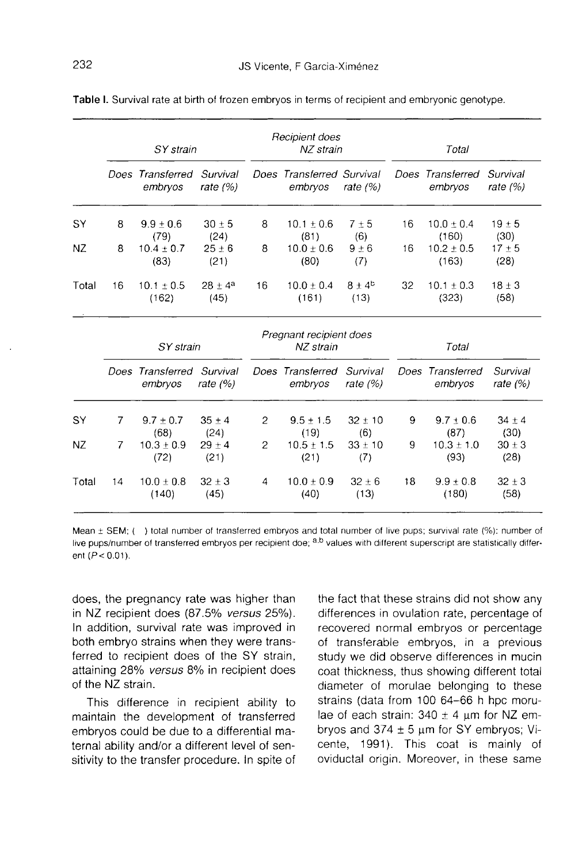|       | SY strain      |                             |                        | Recipient does<br>NZ strain          |                                      |                           | Total |                             |                        |
|-------|----------------|-----------------------------|------------------------|--------------------------------------|--------------------------------------|---------------------------|-------|-----------------------------|------------------------|
|       |                | Does Transferred<br>embryos | Survival<br>rate $(%)$ |                                      | Does Transferred Survival<br>embryos | rate $(%)$                |       | Does Transferred<br>embryos | Survival<br>rate $(%)$ |
| SY    | 8              | $9.9 \pm 0.6$<br>(79)       | $30 \pm 5$<br>(24)     | 8                                    | $10.1 + 0.6$<br>(81)                 | 7±5<br>(6)                | 16    | $10.0 \pm 0.4$<br>(160)     | $19 \pm 5$<br>(30)     |
| NZ    | 8              | $10.4 \pm 0.7$<br>(83)      | $25 \pm 6$<br>(21)     | 8                                    | $10.0 \pm 0.6$<br>(80)               | $9 \pm 6$<br>(7)          | 16    | $10.2 \pm 0.5$<br>(163)     | $17 + 5$<br>(28)       |
| Total | 16             | $10.1 \pm 0.5$<br>(162)     | $28 \pm 4^a$<br>(45)   | 16                                   | $10.0 \pm 0.4$<br>(161)              | $8 \pm 4^{\circ}$<br>(13) | 32    | $10.1 \pm 0.3$<br>(323)     | $18 \pm 3$<br>(58)     |
|       | SY strain      |                             |                        | Pregnant recipient does<br>NZ strain |                                      |                           | Total |                             |                        |
|       |                | Does Transferred<br>embryos | Survival<br>rate $(%$  |                                      | Does Transferred<br>embryos          | Survival<br>rate $(%)$    |       | Does Transferred<br>embryos | Survival<br>rate $(%)$ |
| SY    | 7              | $9.7 \pm 0.7$<br>(68)       | $35 + 4$<br>(24)       | 2                                    | $9.5 \pm 1.5$<br>(19)                | $32 \pm 10$<br>(6)        | 9     | $9.7 \pm 0.6$<br>(87)       | $34 \pm 4$<br>(30)     |
| NZ    | $\overline{7}$ | $10.3 + 0.9$<br>(72)        | $29 + 4$<br>(21)       | 2                                    | $10.5 + 1.5$<br>(21)                 | $33 \pm 10$<br>(7)        | 9     | $10.3 \pm 1.0$<br>(93)      | $30 \pm 3$<br>(28)     |
| Total | 14             | $10.0 + 0.8$<br>(140)       | $32 + 3$<br>(45)       | 4                                    | $10.0 + 0.9$<br>(40)                 | $32 \pm 6$<br>(13)        | 18    | $9.9 \pm 0.8$<br>(180)      | $32 \pm 3$<br>(58)     |

Table I. Survival rate at birth of frozen embryos in terms of recipient and embryonic genotype.

Mean ± SEM; () total number of transferred embryos and total number of live pups; survival rate (%): number of live pups/number of transferred embryos per recipient doe; a.b values with different superscript are statistically different  $(P < 0.01)$ .

does, the pregnancy rate was higher than in NZ recipient does (87.5% versus 25%). In addition, survival rate was improved in both embryo strains when they were transferred to recipient does of the SY strain, attaining 28% versus 8% in recipient does of the NZ strain.

This difference in recipient ability to maintain the development of transferred embryos could be due to a differential maternal ability and/or a different level of sensitivity to the transfer procedure. In spite of

the fact that these strains did not show any differences in ovulation rate, percentage of recovered normal embryos or percentage of transferable embryos, in a previous study we did observe differences in mucin coat thickness, thus showing different total diameter of morulae belonging to these strains (data from 100 64-66 h hpc morulae of each strain:  $340 \pm 4$  µm for NZ embryos and  $374 \pm 5$   $\mu$ m for SY embryos; Vicente, 1991). This coat is mainly of oviductal origin. Moreover, in these same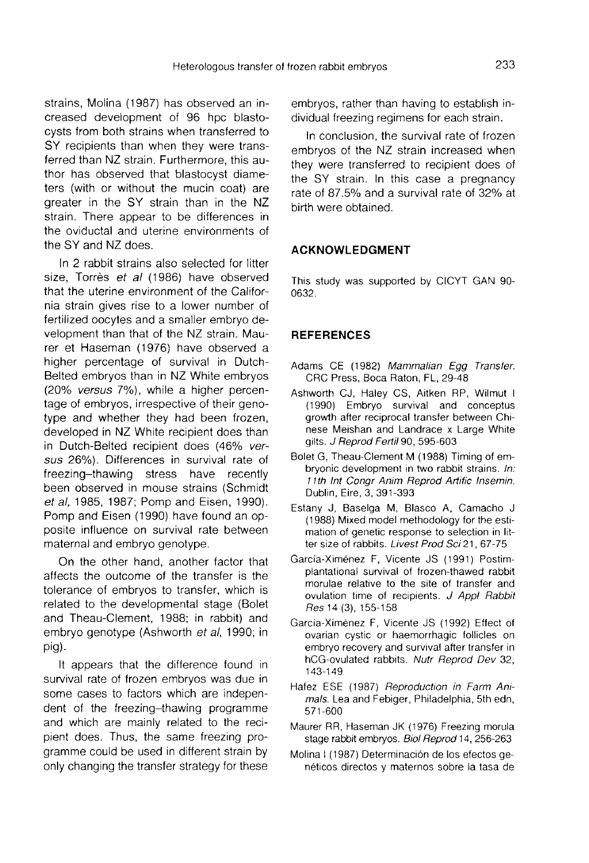strains, Molina (1987) has observed an increased development of 96 hpc blastocysts from both strains when transferred to SY recipients than when they were transferred than NZ strain. Furthermore, this author has observed that blastocyst diameters (with or without the mucin coat) are greater in the SY strain than in the NZ strain. There appear to be differences in the oviductal and uterine environments of the SY and NZ does.

In 2 rabbit strains also selected for litter size, Torrès et al (1986) have observed that the uterine environment of the California strain gives rise to a lower number of fertilized oocytes and a smaller embryo development than that of the NZ strain. Maurer et Haseman (1976) have observed a higher percentage of survival in Dutch-Belted embryos than in NZ White embryos (20% versus 7%), while a higher percentage of embryos, irrespective of their genotype and whether they had been frozen, developed in NZ White recipient does than in Dutch-Belted recipient does (46% versus 26%). Differences in survival rate of freezing-thawing stress have recently been observed in mouse strains (Schmidt et al, 1985, 1987; Pomp and Eisen, 1990). Pomp and Eisen (1990) have found an opposite influence on survival rate between maternal and embryo genotype.

On the other hand, another factor that affects the outcome of the transfer is the tolerance of embryos to transfer, which is related to the developmental stage (Bolet and Theau-Clement, 1988; in rabbit) and embryo genotype (Ashworth et al, 1990; in pig).

It appears that the difference found in survival rate of frozen embryos was due in some cases to factors which are independent of the freezing-thawing programme and which are mainly related to the recipient does. Thus, the same freezing programme could be used in different strain by only changing the transfer strategy for these

embryos, rather than having to establish individual freezing regimens for each strain.

In conclusion, the survival rate of frozen embryos of the NZ strain increased when they were transferred to recipient does of the SY strain. In this case a pregnancy rate of 87.5% and a survival rate of 32% at birth were obtained.

### ACKNOWLEDGMENT

This study was supported by CICYT GAN 90- 0632.

## **REFERENCES**

- Adams CE (1982) Mammalian Egg Transfer. CRC Press, Boca Raton, FL, 29-48
- Ashworth CJ, Haley CS, Aitken RP, Wilmut I (1990) Embryo survival and conceptus growth after reciprocal transfer between Chinese Meishan and Landrace x Large White gilts. J Reprod Fertil 90, 595-603
- Bolet G, Theau-Clement M (1988) Timing of embryonic development in two rabbit strains. In: 11th Int Congr Anim Reprod Artific Insemin. Dublin, Eire, 3, 391-393
- Estany J, Baselga M, Blasco A, Camacho J (1988) Mixed model methodology for the estimation of genetic response to selection in litter size of rabbits. Livest Prod Sci 21, 67-75
- Garcia-Ximénez F, Vicente JS (1991) Postimplantational survival of frozen-thawed rabbit morulae relative to the site of transfer and ovulation time of recipients. J Appl Rabbit Res 14 (3), 155-158
- Garcia-Xim6nez F, Vicente JS (1992) Effect of ovarian cystic or haemorrhagic follicles on embryo recovery and survival after transfer in hCG-ovulated rabbits. Nutr Reprod Dev 32, 143-149
- Hafez ESE (1987) Reproduction in Farm Animals. Lea and Febiger, Philadelphia, 5th edn, 571-600
- Maurer RR, Haseman JK (1976) Freezing morula stage rabbit embryos. Biol Reprod 14, 256-263
- Molina I (1987) Determinación de los efectos genéticos directos y maternos sobre la tasa de